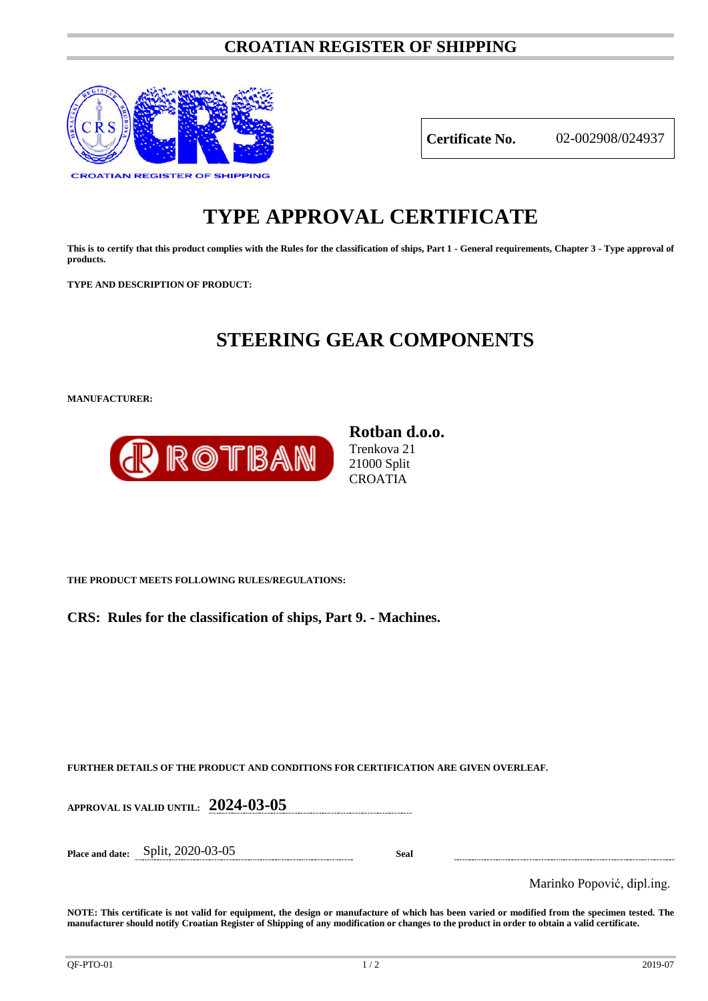### **CROATIAN REGISTER OF SHIPPING**



**Certificate No.** 02-002908/024937

# **TYPE APPROVAL CERTIFICATE**

**This is to certify that this product complies with the Rules for the classification of ships, Part 1 - General requirements, Chapter 3 - Type approval of products.**

**TYPE AND DESCRIPTION OF PRODUCT:** 

## **STEERING GEAR COMPONENTS**

**MANUFACTURER:**



**Rotban d.o.o.** Trenkova 21 21000 Split **CROATIA** 

**THE PRODUCT MEETS FOLLOWING RULES/REGULATIONS:**

**CRS: Rules for the classification of ships, Part 9. - Machines.**

**FURTHER DETAILS OF THE PRODUCT AND CONDITIONS FOR CERTIFICATION ARE GIVEN OVERLEAF.**

**APPROVAL IS VALID UNTIL: 2024-03-05**

**Place and date:** Split, 2020-03-05 **Seal**

Marinko Popović, dipl.ing.

**NOTE: This certificate is not valid for equipment, the design or manufacture of which has been varied or modified from the specimen tested. The manufacturer should notify Croatian Register of Shipping of any modification or changes to the product in order to obtain a valid certificate.**